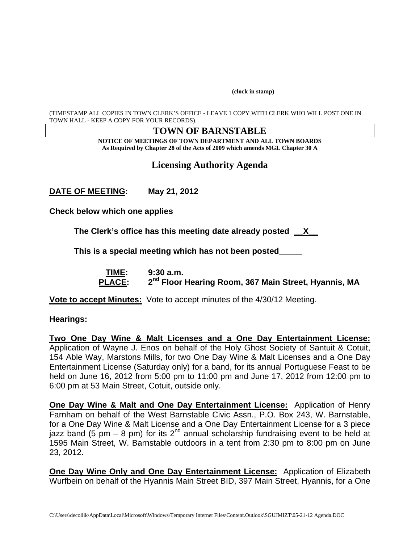**(clock in stamp)** 

(TIMESTAMP ALL COPIES IN TOWN CLERK'S OFFICE - LEAVE 1 COPY WITH CLERK WHO WILL POST ONE IN TOWN HALL - KEEP A COPY FOR YOUR RECORDS).

### **TOWN OF BARNSTABLE**

**NOTICE OF MEETINGS OF TOWN DEPARTMENT AND ALL TOWN BOARDS As Required by Chapter 28 of the Acts of 2009 which amends MGL Chapter 30 A** 

# **Licensing Authority Agenda**

**DATE OF MEETING: May 21, 2012** 

**Check below which one applies** 

**The Clerk's office has this meeting date already posted \_\_X\_\_** 

**This is a special meeting which has not been posted\_\_\_\_\_** 

 **TIME: 9:30 a.m.**  PLACE: 2<sup>nd</sup> Floor Hearing Room, 367 Main Street, Hyannis, MA

**Vote to accept Minutes:** Vote to accept minutes of the 4/30/12 Meeting.

#### **Hearings:**

**Two One Day Wine & Malt Licenses and a One Day Entertainment License:** Application of Wayne J. Enos on behalf of the Holy Ghost Society of Santuit & Cotuit, 154 Able Way, Marstons Mills, for two One Day Wine & Malt Licenses and a One Day Entertainment License (Saturday only) for a band, for its annual Portuguese Feast to be held on June 16, 2012 from 5:00 pm to 11:00 pm and June 17, 2012 from 12:00 pm to 6:00 pm at 53 Main Street, Cotuit, outside only.

**One Day Wine & Malt and One Day Entertainment License:** Application of Henry Farnham on behalf of the West Barnstable Civic Assn., P.O. Box 243, W. Barnstable, for a One Day Wine & Malt License and a One Day Entertainment License for a 3 piece jazz band (5 pm – 8 pm) for its 2<sup>nd</sup> annual scholarship fundraising event to be held at 1595 Main Street, W. Barnstable outdoors in a tent from 2:30 pm to 8:00 pm on June 23, 2012.

**One Day Wine Only and One Day Entertainment License:** Application of Elizabeth Wurfbein on behalf of the Hyannis Main Street BID, 397 Main Street, Hyannis, for a One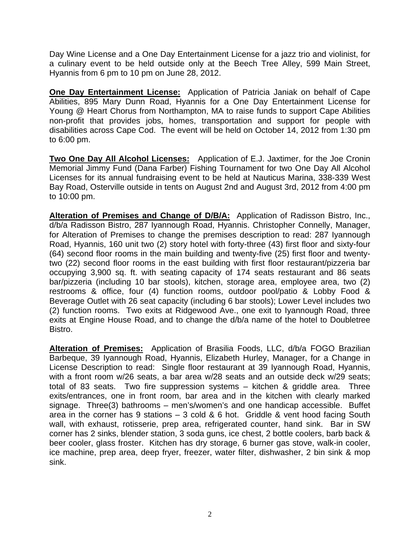Day Wine License and a One Day Entertainment License for a jazz trio and violinist, for a culinary event to be held outside only at the Beech Tree Alley, 599 Main Street, Hyannis from 6 pm to 10 pm on June 28, 2012.

**One Day Entertainment License:** Application of Patricia Janiak on behalf of Cape Abilities, 895 Mary Dunn Road, Hyannis for a One Day Entertainment License for Young @ Heart Chorus from Northampton, MA to raise funds to support Cape Abilities non-profit that provides jobs, homes, transportation and support for people with disabilities across Cape Cod. The event will be held on October 14, 2012 from 1:30 pm to 6:00 pm.

**Two One Day All Alcohol Licenses:** Application of E.J. Jaxtimer, for the Joe Cronin Memorial Jimmy Fund (Dana Farber) Fishing Tournament for two One Day All Alcohol Licenses for its annual fundraising event to be held at Nauticus Marina, 338-339 West Bay Road, Osterville outside in tents on August 2nd and August 3rd, 2012 from 4:00 pm to 10:00 pm.

**Alteration of Premises and Change of D/B/A:** Application of Radisson Bistro, Inc., d/b/a Radisson Bistro, 287 Iyannough Road, Hyannis. Christopher Connelly, Manager, for Alteration of Premises to change the premises description to read: 287 Iyannough Road, Hyannis, 160 unit two (2) story hotel with forty-three (43) first floor and sixty-four (64) second floor rooms in the main building and twenty-five (25) first floor and twentytwo (22) second floor rooms in the east building with first floor restaurant/pizzeria bar occupying 3,900 sq. ft. with seating capacity of 174 seats restaurant and 86 seats bar/pizzeria (including 10 bar stools), kitchen, storage area, employee area, two (2) restrooms & office, four (4) function rooms, outdoor pool/patio & Lobby Food & Beverage Outlet with 26 seat capacity (including 6 bar stools); Lower Level includes two (2) function rooms. Two exits at Ridgewood Ave., one exit to Iyannough Road, three exits at Engine House Road, and to change the d/b/a name of the hotel to Doubletree Bistro.

**Alteration of Premises:** Application of Brasilia Foods, LLC, d/b/a FOGO Brazilian Barbeque, 39 Iyannough Road, Hyannis, Elizabeth Hurley, Manager, for a Change in License Description to read: Single floor restaurant at 39 Iyannough Road, Hyannis, with a front room w/26 seats, a bar area w/28 seats and an outside deck w/29 seats; total of 83 seats. Two fire suppression systems – kitchen & griddle area. Three exits/entrances, one in front room, bar area and in the kitchen with clearly marked signage. Three(3) bathrooms – men's/women's and one handicap accessible. Buffet area in the corner has 9 stations – 3 cold & 6 hot. Griddle & vent hood facing South wall, with exhaust, rotisserie, prep area, refrigerated counter, hand sink. Bar in SW corner has 2 sinks, blender station, 3 soda guns, ice chest, 2 bottle coolers, barb back & beer cooler, glass froster. Kitchen has dry storage, 6 burner gas stove, walk-in cooler, ice machine, prep area, deep fryer, freezer, water filter, dishwasher, 2 bin sink & mop sink.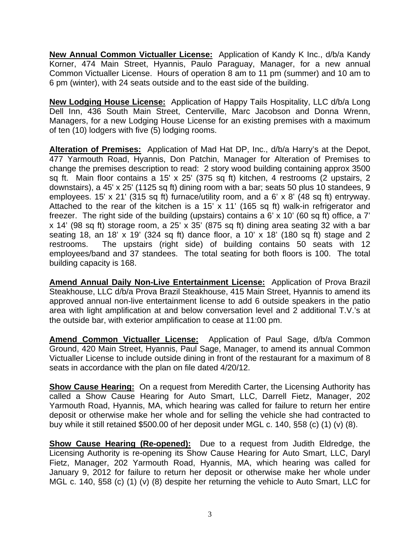**New Annual Common Victualler License:** Application of Kandy K Inc., d/b/a Kandy Korner, 474 Main Street, Hyannis, Paulo Paraguay, Manager, for a new annual Common Victualler License. Hours of operation 8 am to 11 pm (summer) and 10 am to 6 pm (winter), with 24 seats outside and to the east side of the building.

**New Lodging House License:** Application of Happy Tails Hospitality, LLC d/b/a Long Dell Inn, 436 South Main Street, Centerville, Marc Jacobson and Donna Wrenn, Managers, for a new Lodging House License for an existing premises with a maximum of ten (10) lodgers with five (5) lodging rooms.

**Alteration of Premises:** Application of Mad Hat DP, Inc., d/b/a Harry's at the Depot, 477 Yarmouth Road, Hyannis, Don Patchin, Manager for Alteration of Premises to change the premises description to read: 2 story wood building containing approx 3500 sq ft. Main floor contains a 15' x 25' (375 sq ft) kitchen, 4 restrooms (2 upstairs, 2 downstairs), a 45' x 25' (1125 sq ft) dining room with a bar; seats 50 plus 10 standees, 9 employees. 15' x 21' (315 sq ft) furnace/utility room, and a 6' x 8' (48 sq ft) entryway. Attached to the rear of the kitchen is a 15' x 11' (165 sq ft) walk-in refrigerator and freezer. The right side of the building (upstairs) contains a 6' x 10' (60 sq ft) office, a 7' x 14' (98 sq ft) storage room, a 25' x 35' (875 sq ft) dining area seating 32 with a bar seating 18, an 18' x 19' (324 sq ft) dance floor, a 10' x 18' (180 sq ft) stage and 2 restrooms. The upstairs (right side) of building contains 50 seats with 12 employees/band and 37 standees. The total seating for both floors is 100. The total building capacity is 168.

**Amend Annual Daily Non-Live Entertainment License:** Application of Prova Brazil Steakhouse, LLC d/b/a Prova Brazil Steakhouse, 415 Main Street, Hyannis to amend its approved annual non-live entertainment license to add 6 outside speakers in the patio area with light amplification at and below conversation level and 2 additional T.V.'s at the outside bar, with exterior amplification to cease at 11:00 pm.

**Amend Common Victualler License:** Application of Paul Sage, d/b/a Common Ground, 420 Main Street, Hyannis, Paul Sage, Manager, to amend its annual Common Victualler License to include outside dining in front of the restaurant for a maximum of 8 seats in accordance with the plan on file dated 4/20/12.

**Show Cause Hearing:** On a request from Meredith Carter, the Licensing Authority has called a Show Cause Hearing for Auto Smart, LLC, Darrell Fietz, Manager, 202 Yarmouth Road, Hyannis, MA, which hearing was called for failure to return her entire deposit or otherwise make her whole and for selling the vehicle she had contracted to buy while it still retained \$500.00 of her deposit under MGL c. 140, §58 (c) (1) (v) (8).

**Show Cause Hearing (Re-opened):** Due to a request from Judith Eldredge, the Licensing Authority is re-opening its Show Cause Hearing for Auto Smart, LLC, Daryl Fietz, Manager, 202 Yarmouth Road, Hyannis, MA, which hearing was called for January 9, 2012 for failure to return her deposit or otherwise make her whole under MGL c. 140, §58 (c) (1) (v) (8) despite her returning the vehicle to Auto Smart, LLC for